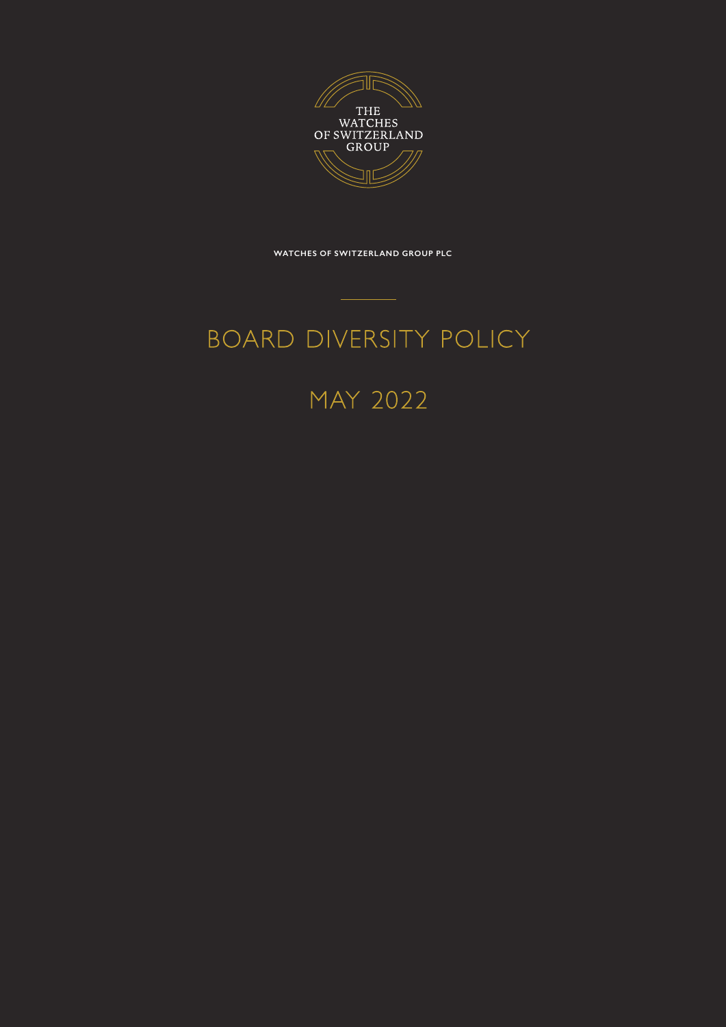

**WATCHES OF SWITZERLAND GROUP PLC**

# BOARD DIVERSITY POLICY

### MAY 2022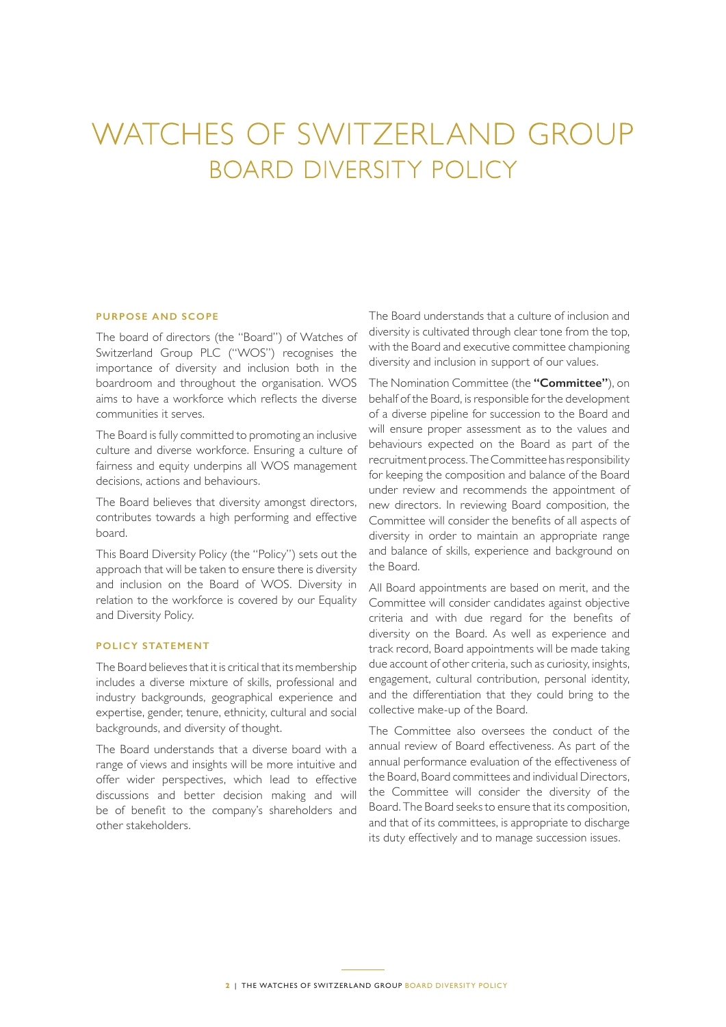## WATCHES OF SWITZERLAND GROUP BOARD DIVERSITY POLICY

### **PURPOSE AND SCOPE**

The board of directors (the "Board") of Watches of Switzerland Group PLC ("WOS") recognises the importance of diversity and inclusion both in the boardroom and throughout the organisation. WOS aims to have a workforce which reflects the diverse communities it serves.

The Board is fully committed to promoting an inclusive culture and diverse workforce. Ensuring a culture of fairness and equity underpins all WOS management decisions, actions and behaviours.

The Board believes that diversity amongst directors, contributes towards a high performing and effective board.

This Board Diversity Policy (the "Policy") sets out the approach that will be taken to ensure there is diversity and inclusion on the Board of WOS. Diversity in relation to the workforce is covered by our Equality and Diversity Policy.

#### **POLICY STATEMENT**

The Board believes that it is critical that its membership includes a diverse mixture of skills, professional and industry backgrounds, geographical experience and expertise, gender, tenure, ethnicity, cultural and social backgrounds, and diversity of thought.

The Board understands that a diverse board with a range of views and insights will be more intuitive and offer wider perspectives, which lead to effective discussions and better decision making and will be of benefit to the company's shareholders and other stakeholders.

The Board understands that a culture of inclusion and diversity is cultivated through clear tone from the top, with the Board and executive committee championing diversity and inclusion in support of our values.

The Nomination Committee (the **"Committee"**), on behalf of the Board, is responsible for the development of a diverse pipeline for succession to the Board and will ensure proper assessment as to the values and behaviours expected on the Board as part of the recruitment process. The Committee has responsibility for keeping the composition and balance of the Board under review and recommends the appointment of new directors. In reviewing Board composition, the Committee will consider the benefits of all aspects of diversity in order to maintain an appropriate range and balance of skills, experience and background on the Board.

All Board appointments are based on merit, and the Committee will consider candidates against objective criteria and with due regard for the benefits of diversity on the Board. As well as experience and track record, Board appointments will be made taking due account of other criteria, such as curiosity, insights, engagement, cultural contribution, personal identity, and the differentiation that they could bring to the collective make-up of the Board.

The Committee also oversees the conduct of the annual review of Board effectiveness. As part of the annual performance evaluation of the effectiveness of the Board, Board committees and individual Directors, the Committee will consider the diversity of the Board. The Board seeks to ensure that its composition, and that of its committees, is appropriate to discharge its duty effectively and to manage succession issues.